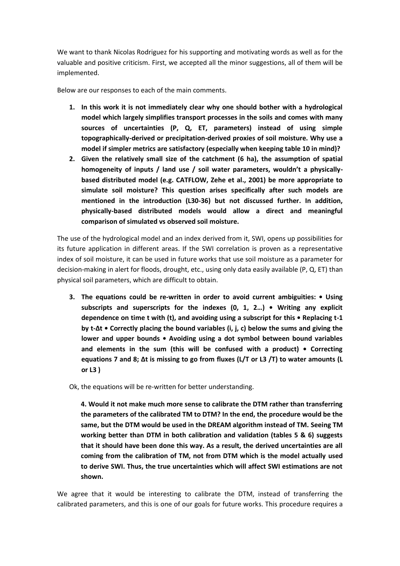We want to thank Nicolas Rodriguez for his supporting and motivating words as well as for the valuable and positive criticism. First, we accepted all the minor suggestions, all of them will be implemented.

Below are our responses to each of the main comments.

- **1. In this work it is not immediately clear why one should bother with a hydrological model which largely simplifies transport processes in the soils and comes with many sources of uncertainties (P, Q, ET, parameters) instead of using simple topographically-derived or precipitation-derived proxies of soil moisture. Why use a model if simpler metrics are satisfactory (especially when keeping table 10 in mind)?**
- **2. Given the relatively small size of the catchment (6 ha), the assumption of spatial homogeneity of inputs / land use / soil water parameters, wouldn't a physicallybased distributed model (e.g. CATFLOW, Zehe et al., 2001) be more appropriate to simulate soil moisture? This question arises specifically after such models are mentioned in the introduction (L30-36) but not discussed further. In addition, physically-based distributed models would allow a direct and meaningful comparison of simulated vs observed soil moisture.**

The use of the hydrological model and an index derived from it, SWI, opens up possibilities for its future application in different areas. If the SWI correlation is proven as a representative index of soil moisture, it can be used in future works that use soil moisture as a parameter for decision-making in alert for floods, drought, etc., using only data easily available (P, Q, ET) than physical soil parameters, which are difficult to obtain.

- **3. The equations could be re-written in order to avoid current ambiguities: Using subscripts and superscripts for the indexes (0, 1, 2…) • Writing any explicit dependence on time t with (t), and avoiding using a subscript for this • Replacing t-1 by t-Δt • Correctly placing the bound variables (i, j, c) below the sums and giving the lower and upper bounds • Avoiding using a dot symbol between bound variables and elements in the sum (this will be confused with a product) • Correcting equations 7 and 8; Δt is missing to go from fluxes (L/T or L3 /T) to water amounts (L or L3 )**
- Ok, the equations will be re-written for better understanding.

**4. Would it not make much more sense to calibrate the DTM rather than transferring the parameters of the calibrated TM to DTM? In the end, the procedure would be the same, but the DTM would be used in the DREAM algorithm instead of TM. Seeing TM working better than DTM in both calibration and validation (tables 5 & 6) suggests that it should have been done this way. As a result, the derived uncertainties are all coming from the calibration of TM, not from DTM which is the model actually used to derive SWI. Thus, the true uncertainties which will affect SWI estimations are not shown.**

We agree that it would be interesting to calibrate the DTM, instead of transferring the calibrated parameters, and this is one of our goals for future works. This procedure requires a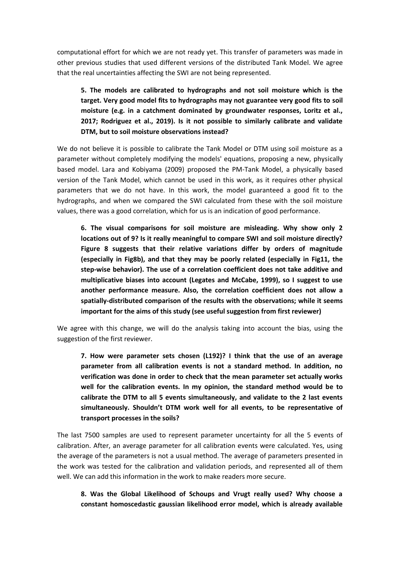computational effort for which we are not ready yet. This transfer of parameters was made in other previous studies that used different versions of the distributed Tank Model. We agree that the real uncertainties affecting the SWI are not being represented.

**5. The models are calibrated to hydrographs and not soil moisture which is the target. Very good model fits to hydrographs may not guarantee very good fits to soil moisture (e.g. in a catchment dominated by groundwater responses, Loritz et al., 2017; Rodriguez et al., 2019). Is it not possible to similarly calibrate and validate DTM, but to soil moisture observations instead?**

We do not believe it is possible to calibrate the Tank Model or DTM using soil moisture as a parameter without completely modifying the models' equations, proposing a new, physically based model. Lara and Kobiyama (2009) proposed the PM-Tank Model, a physically based version of the Tank Model, which cannot be used in this work, as it requires other physical parameters that we do not have. In this work, the model guaranteed a good fit to the hydrographs, and when we compared the SWI calculated from these with the soil moisture values, there was a good correlation, which for us is an indication of good performance.

**6. The visual comparisons for soil moisture are misleading. Why show only 2 locations out of 9? Is it really meaningful to compare SWI and soil moisture directly? Figure 8 suggests that their relative variations differ by orders of magnitude (especially in Fig8b), and that they may be poorly related (especially in Fig11, the step-wise behavior). The use of a correlation coefficient does not take additive and multiplicative biases into account (Legates and McCabe, 1999), so I suggest to use another performance measure. Also, the correlation coefficient does not allow a spatially-distributed comparison of the results with the observations; while it seems important for the aims of this study (see useful suggestion from first reviewer)**

We agree with this change, we will do the analysis taking into account the bias, using the suggestion of the first reviewer.

**7. How were parameter sets chosen (L192)? I think that the use of an average parameter from all calibration events is not a standard method. In addition, no verification was done in order to check that the mean parameter set actually works well for the calibration events. In my opinion, the standard method would be to calibrate the DTM to all 5 events simultaneously, and validate to the 2 last events simultaneously. Shouldn't DTM work well for all events, to be representative of transport processes in the soils?**

The last 7500 samples are used to represent parameter uncertainty for all the 5 events of calibration. After, an average parameter for all calibration events were calculated. Yes, using the average of the parameters is not a usual method. The average of parameters presented in the work was tested for the calibration and validation periods, and represented all of them well. We can add this information in the work to make readers more secure.

**8. Was the Global Likelihood of Schoups and Vrugt really used? Why choose a constant homoscedastic gaussian likelihood error model, which is already available**